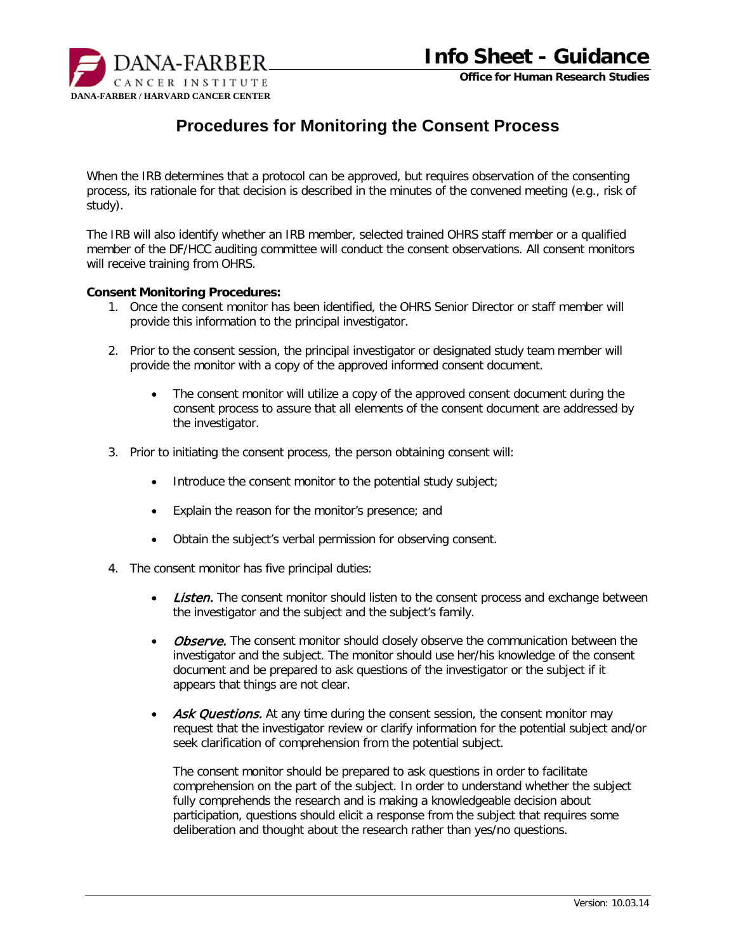

**Office for Human Research Studies**

## **Procedures for Monitoring the Consent Process**

When the IRB determines that a protocol can be approved, but requires observation of the consenting process, its rationale for that decision is described in the minutes of the convened meeting (e.g., risk of study).

The IRB will also identify whether an IRB member, selected trained OHRS staff member or a qualified member of the DF/HCC auditing committee will conduct the consent observations. All consent monitors will receive training from OHRS.

## **Consent Monitoring Procedures:**

- 1. Once the consent monitor has been identified, the OHRS Senior Director or staff member will provide this information to the principal investigator.
- 2. Prior to the consent session, the principal investigator or designated study team member will provide the monitor with a copy of the approved informed consent document.
	- The consent monitor will utilize a copy of the approved consent document during the consent process to assure that all elements of the consent document are addressed by the investigator.
- 3. Prior to initiating the consent process, the person obtaining consent will:
	- Introduce the consent monitor to the potential study subject;
	- Explain the reason for the monitor's presence; and
	- Obtain the subject's verbal permission for observing consent.
- 4. The consent monitor has five principal duties:
	- Listen. The consent monitor should listen to the consent process and exchange between the investigator and the subject and the subject's family.
	- Observe. The consent monitor should closely observe the communication between the investigator and the subject. The monitor should use her/his knowledge of the consent document and be prepared to ask questions of the investigator or the subject if it appears that things are not clear.
	- Ask Questions. At any time during the consent session, the consent monitor may request that the investigator review or clarify information for the potential subject and/or seek clarification of comprehension from the potential subject.

The consent monitor should be prepared to ask questions in order to facilitate comprehension on the part of the subject. In order to understand whether the subject fully comprehends the research and is making a knowledgeable decision about participation, questions should elicit a response from the subject that requires some deliberation and thought about the research rather than yes/no questions.